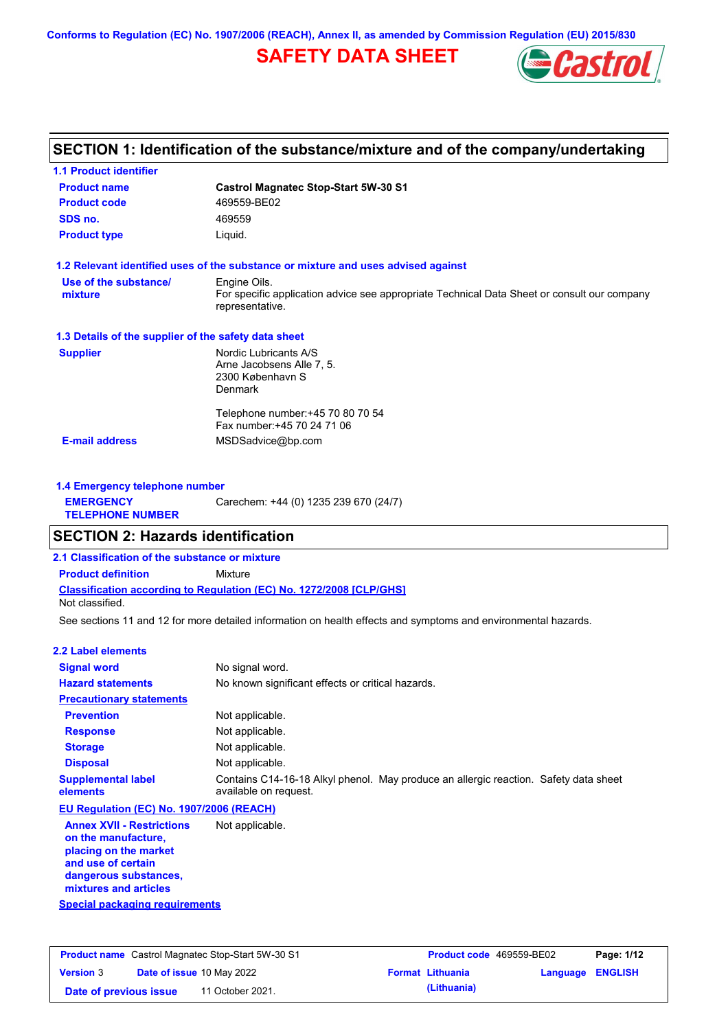**Conforms to Regulation (EC) No. 1907/2006 (REACH), Annex II, as amended by Commission Regulation (EU) 2015/830**

# **SAFETY DATA SHEET**



## **SECTION 1: Identification of the substance/mixture and of the company/undertaking**

| <b>1.1 Product identifier</b>                        |                                                                                                                                |
|------------------------------------------------------|--------------------------------------------------------------------------------------------------------------------------------|
| <b>Product name</b>                                  | <b>Castrol Magnatec Stop-Start 5W-30 S1</b>                                                                                    |
| <b>Product code</b>                                  | 469559-BE02                                                                                                                    |
| SDS no.                                              | 469559                                                                                                                         |
| <b>Product type</b>                                  | Liquid.                                                                                                                        |
|                                                      | 1.2 Relevant identified uses of the substance or mixture and uses advised against                                              |
| Use of the substance/<br>mixture                     | Engine Oils.<br>For specific application advice see appropriate Technical Data Sheet or consult our company<br>representative. |
| 1.3 Details of the supplier of the safety data sheet |                                                                                                                                |
| <b>Supplier</b>                                      | Nordic Lubricants A/S<br>Arne Jacobsens Alle 7, 5.<br>2300 København S<br><b>Denmark</b>                                       |
| <b>E-mail address</b>                                | Telephone number: +45 70 80 70 54<br>Fax number: +45 70 24 71 06<br>MSDSadvice@bp.com                                          |
|                                                      |                                                                                                                                |

| 1.4 Emergency telephone number              |                                       |
|---------------------------------------------|---------------------------------------|
| <b>EMERGENCY</b><br><b>TELEPHONE NUMBER</b> | Carechem: +44 (0) 1235 239 670 (24/7) |

### **SECTION 2: Hazards identification**

**2.1 Classification of the substance or mixture**

**Classification according to Regulation (EC) No. 1272/2008 [CLP/GHS] Product definition** Mixture Not classified.

See sections 11 and 12 for more detailed information on health effects and symptoms and environmental hazards.

#### **2.2 Label elements**

| <b>Signal word</b>                                                                                      | No signal word.                                                                                               |
|---------------------------------------------------------------------------------------------------------|---------------------------------------------------------------------------------------------------------------|
| <b>Hazard statements</b>                                                                                | No known significant effects or critical hazards.                                                             |
| <b>Precautionary statements</b>                                                                         |                                                                                                               |
| <b>Prevention</b>                                                                                       | Not applicable.                                                                                               |
| <b>Response</b>                                                                                         | Not applicable.                                                                                               |
| <b>Storage</b>                                                                                          | Not applicable.                                                                                               |
| <b>Disposal</b>                                                                                         | Not applicable.                                                                                               |
| <b>Supplemental label</b><br>elements                                                                   | Contains C14-16-18 Alkyl phenol. May produce an allergic reaction. Safety data sheet<br>available on request. |
| EU Regulation (EC) No. 1907/2006 (REACH)                                                                |                                                                                                               |
| <b>Annex XVII - Restrictions</b><br>on the manufacture,<br>placing on the market<br>and use of cortain. | Not applicable.                                                                                               |

**Special packaging requirements and use of certain dangerous substances, mixtures and articles**

|                        | <b>Product name</b> Castrol Magnatec Stop-Start 5W-30 S1 | <b>Product code</b> 469559-BE02 |                  | Page: 1/12 |
|------------------------|----------------------------------------------------------|---------------------------------|------------------|------------|
| <b>Version 3</b>       | <b>Date of issue 10 May 2022</b>                         | <b>Format Lithuania</b>         | Language ENGLISH |            |
| Date of previous issue | 11 October 2021.                                         | (Lithuania)                     |                  |            |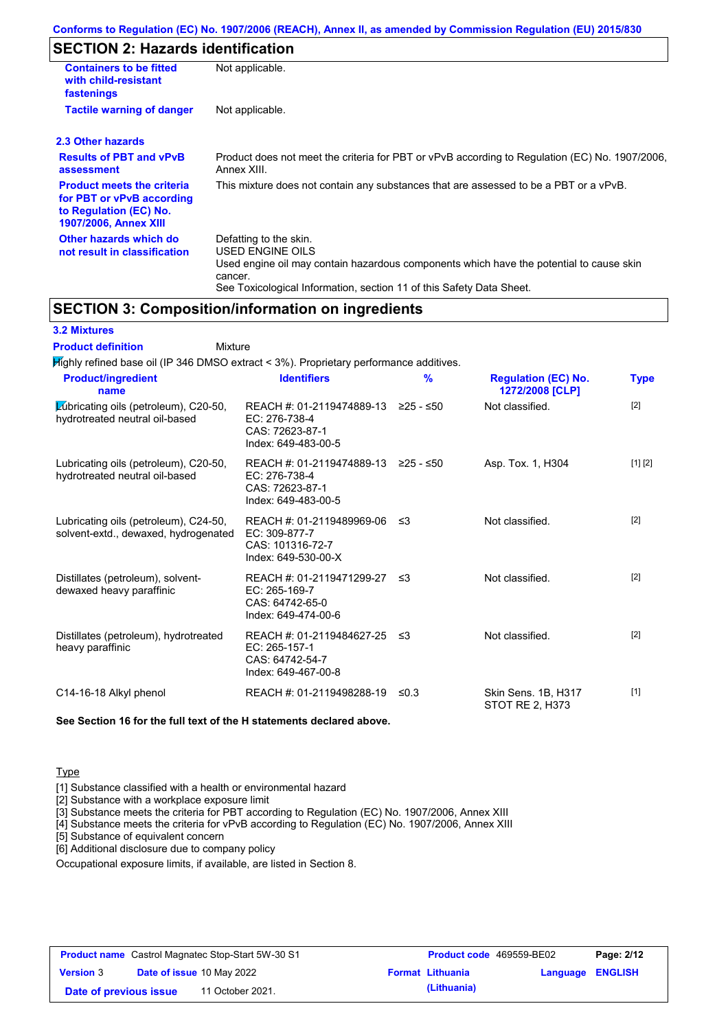# **SECTION 2: Hazards identification**

| <b>Containers to be fitted</b><br>with child-resistant<br>fastenings                                                     | Not applicable.                                                                                                                                                                                                          |
|--------------------------------------------------------------------------------------------------------------------------|--------------------------------------------------------------------------------------------------------------------------------------------------------------------------------------------------------------------------|
| <b>Tactile warning of danger</b>                                                                                         | Not applicable.                                                                                                                                                                                                          |
| 2.3 Other hazards                                                                                                        |                                                                                                                                                                                                                          |
| <b>Results of PBT and vPvB</b><br>assessment                                                                             | Product does not meet the criteria for PBT or vPvB according to Regulation (EC) No. 1907/2006,<br>Annex XIII.                                                                                                            |
| <b>Product meets the criteria</b><br>for PBT or vPvB according<br>to Regulation (EC) No.<br><b>1907/2006, Annex XIII</b> | This mixture does not contain any substances that are assessed to be a PBT or a vPvB.                                                                                                                                    |
| Other hazards which do<br>not result in classification                                                                   | Defatting to the skin.<br>USED ENGINE OILS<br>Used engine oil may contain hazardous components which have the potential to cause skin<br>cancer.<br>See Toxicological Information, section 11 of this Safety Data Sheet. |

### **SECTION 3: Composition/information on ingredients**

### **3.2 Mixtures**

Mixture **Product definition**

| <b>Product/ingredient</b><br>name                                             | <b>Identifiers</b>                                                                    | $\frac{9}{6}$ | <b>Regulation (EC) No.</b><br>1272/2008 [CLP] | <b>Type</b> |
|-------------------------------------------------------------------------------|---------------------------------------------------------------------------------------|---------------|-----------------------------------------------|-------------|
| Lubricating oils (petroleum), C20-50,<br>hydrotreated neutral oil-based       | REACH #: 01-2119474889-13<br>EC: 276-738-4<br>CAS: 72623-87-1<br>Index: 649-483-00-5  | ≥25 - ≤50     | Not classified.                               | [2]         |
| Lubricating oils (petroleum), C20-50,<br>hydrotreated neutral oil-based       | REACH #: 01-2119474889-13<br>EC: 276-738-4<br>CAS: 72623-87-1<br>Index: 649-483-00-5  | ≥25 - ≤50     | Asp. Tox. 1, H304                             | [1] [2]     |
| Lubricating oils (petroleum), C24-50,<br>solvent-extd., dewaxed, hydrogenated | REACH #: 01-2119489969-06<br>EC: 309-877-7<br>CAS: 101316-72-7<br>Index: 649-530-00-X | -≤3           | Not classified.                               | $[2]$       |
| Distillates (petroleum), solvent-<br>dewaxed heavy paraffinic                 | REACH #: 01-2119471299-27<br>EC: 265-169-7<br>CAS: 64742-65-0<br>Index: 649-474-00-6  | ו≥ ≤          | Not classified.                               | $[2]$       |
| Distillates (petroleum), hydrotreated<br>heavy paraffinic                     | REACH #: 01-2119484627-25<br>EC: 265-157-1<br>CAS: 64742-54-7<br>Index: 649-467-00-8  | -≤3           | Not classified.                               | $[2]$       |
| C14-16-18 Alkyl phenol                                                        | REACH #: 01-2119498288-19                                                             | ≤0.3          | Skin Sens. 1B, H317<br>STOT RE 2. H373        | $[1]$       |

**See Section 16 for the full text of the H statements declared above.**

### **Type**

[1] Substance classified with a health or environmental hazard

[2] Substance with a workplace exposure limit

[3] Substance meets the criteria for PBT according to Regulation (EC) No. 1907/2006, Annex XIII

[4] Substance meets the criteria for vPvB according to Regulation (EC) No. 1907/2006, Annex XIII

[5] Substance of equivalent concern

[6] Additional disclosure due to company policy

Occupational exposure limits, if available, are listed in Section 8.

| <b>Product name</b> Castrol Magnatec Stop-Start 5W-30 S1 |  | <b>Product code</b> 469559-BE02  |  | Page: 2/12              |                  |  |
|----------------------------------------------------------|--|----------------------------------|--|-------------------------|------------------|--|
| <b>Version 3</b>                                         |  | <b>Date of issue 10 May 2022</b> |  | <b>Format Lithuania</b> | Language ENGLISH |  |
| Date of previous issue                                   |  | 11 October 2021.                 |  | (Lithuania)             |                  |  |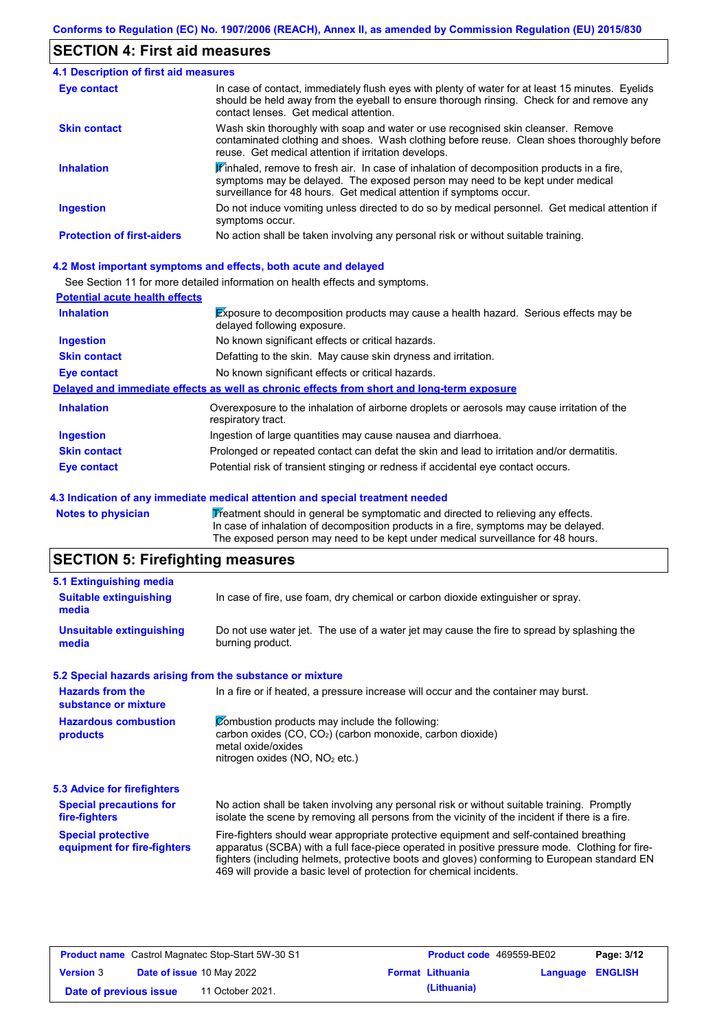## **SECTION 4: First aid measures**

| <b>4.1 Description of first aid measures</b> |                                                                                                                                                                                                                                                                         |
|----------------------------------------------|-------------------------------------------------------------------------------------------------------------------------------------------------------------------------------------------------------------------------------------------------------------------------|
| <b>Eye contact</b>                           | In case of contact, immediately flush eyes with plenty of water for at least 15 minutes. Eyelids<br>should be held away from the eyeball to ensure thorough rinsing. Check for and remove any<br>contact lenses. Get medical attention.                                 |
| <b>Skin contact</b>                          | Wash skin thoroughly with soap and water or use recognised skin cleanser. Remove<br>contaminated clothing and shoes. Wash clothing before reuse. Clean shoes thoroughly before<br>reuse. Get medical attention if irritation develops.                                  |
| <b>Inhalation</b>                            | $\mathbf{\mathscr{F}}$ inhaled, remove to fresh air. In case of inhalation of decomposition products in a fire,<br>symptoms may be delayed. The exposed person may need to be kept under medical<br>surveillance for 48 hours. Get medical attention if symptoms occur. |
| <b>Ingestion</b>                             | Do not induce vomiting unless directed to do so by medical personnel. Get medical attention if<br>symptoms occur.                                                                                                                                                       |
| <b>Protection of first-aiders</b>            | No action shall be taken involving any personal risk or without suitable training.                                                                                                                                                                                      |

### **4.2 Most important symptoms and effects, both acute and delayed**

See Section 11 for more detailed information on health effects and symptoms.

| <b>Potential acute health effects</b> |                                                                                                                            |
|---------------------------------------|----------------------------------------------------------------------------------------------------------------------------|
| <b>Inhalation</b>                     | <b>Exposure to decomposition products may cause a health hazard. Serious effects may be</b><br>delayed following exposure. |
| <b>Ingestion</b>                      | No known significant effects or critical hazards.                                                                          |
| <b>Skin contact</b>                   | Defatting to the skin. May cause skin dryness and irritation.                                                              |
| Eye contact                           | No known significant effects or critical hazards.                                                                          |
|                                       | Delayed and immediate effects as well as chronic effects from short and long-term exposure                                 |
| <b>Inhalation</b>                     | Overexposure to the inhalation of airborne droplets or aerosols may cause irritation of the<br>respiratory tract.          |
| <b>Ingestion</b>                      | Ingestion of large quantities may cause nausea and diarrhoea.                                                              |
| <b>Skin contact</b>                   | Prolonged or repeated contact can defat the skin and lead to irritation and/or dermatitis.                                 |
| Eye contact                           | Potential risk of transient stinging or redness if accidental eye contact occurs.                                          |

#### **4.3 Indication of any immediate medical attention and special treatment needed**

Notes to physician **Treatment should in general be symptomatic and directed to relieving any effects.** In case of inhalation of decomposition products in a fire, symptoms may be delayed. The exposed person may need to be kept under medical surveillance for 48 hours.

# **SECTION 5: Firefighting measures**

| 5.1 Extinguishing media                                   |                                                                                                                                                                                                                                                                                                                                                                   |
|-----------------------------------------------------------|-------------------------------------------------------------------------------------------------------------------------------------------------------------------------------------------------------------------------------------------------------------------------------------------------------------------------------------------------------------------|
| <b>Suitable extinguishing</b><br>media                    | In case of fire, use foam, dry chemical or carbon dioxide extinguisher or spray.                                                                                                                                                                                                                                                                                  |
| <b>Unsuitable extinguishing</b><br>media                  | Do not use water jet. The use of a water jet may cause the fire to spread by splashing the<br>burning product.                                                                                                                                                                                                                                                    |
| 5.2 Special hazards arising from the substance or mixture |                                                                                                                                                                                                                                                                                                                                                                   |
| <b>Hazards from the</b><br>substance or mixture           | In a fire or if heated, a pressure increase will occur and the container may burst.                                                                                                                                                                                                                                                                               |
| <b>Hazardous combustion</b><br>products                   | Combustion products may include the following:<br>carbon oxides (CO, CO <sub>2</sub> ) (carbon monoxide, carbon dioxide)<br>metal oxide/oxides<br>nitrogen oxides ( $NO$ , $NO2$ etc.)                                                                                                                                                                            |
| 5.3 Advice for firefighters                               |                                                                                                                                                                                                                                                                                                                                                                   |
| <b>Special precautions for</b><br>fire-fighters           | No action shall be taken involving any personal risk or without suitable training. Promptly<br>isolate the scene by removing all persons from the vicinity of the incident if there is a fire.                                                                                                                                                                    |
| <b>Special protective</b><br>equipment for fire-fighters  | Fire-fighters should wear appropriate protective equipment and self-contained breathing<br>apparatus (SCBA) with a full face-piece operated in positive pressure mode. Clothing for fire-<br>fighters (including helmets, protective boots and gloves) conforming to European standard EN<br>469 will provide a basic level of protection for chemical incidents. |

| <b>Product name</b> Castrol Magnatec Stop-Start 5W-30 S1 |  | <b>Product code</b> 469559-BE02  |  | Page: 3/12              |                         |  |
|----------------------------------------------------------|--|----------------------------------|--|-------------------------|-------------------------|--|
| <b>Version 3</b>                                         |  | <b>Date of issue 10 May 2022</b> |  | <b>Format Lithuania</b> | <b>Language ENGLISH</b> |  |
| Date of previous issue                                   |  | 11 October 2021.                 |  | (Lithuania)             |                         |  |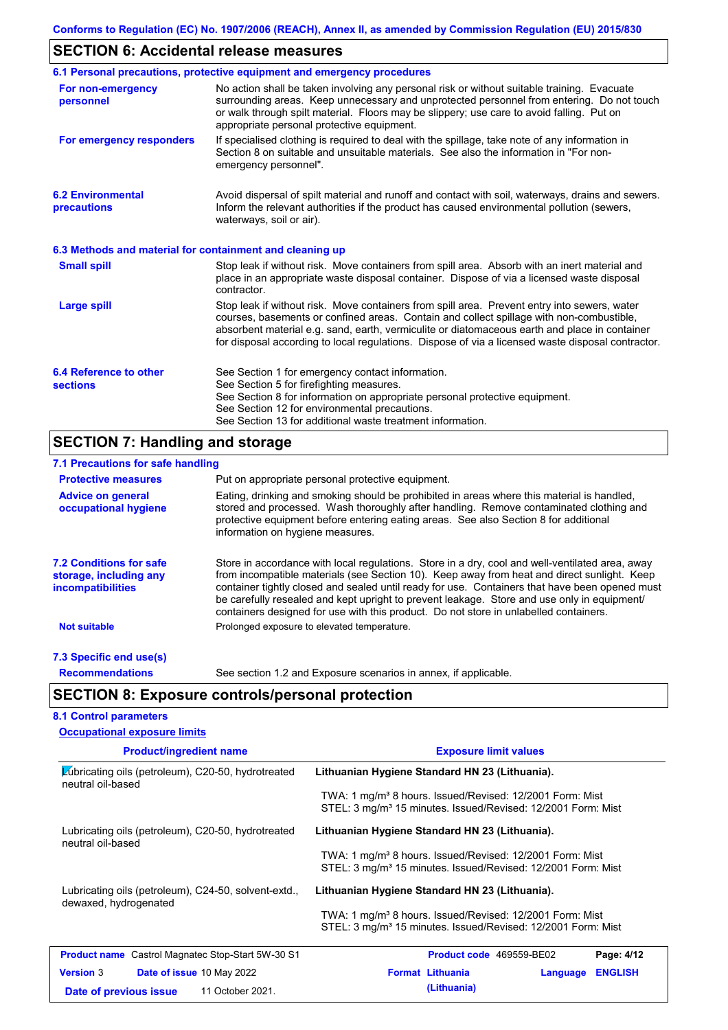# **SECTION 6: Accidental release measures**

|                                                          | 6.1 Personal precautions, protective equipment and emergency procedures                                                                                                                                                                                                                                                                                                                        |
|----------------------------------------------------------|------------------------------------------------------------------------------------------------------------------------------------------------------------------------------------------------------------------------------------------------------------------------------------------------------------------------------------------------------------------------------------------------|
| For non-emergency<br>personnel                           | No action shall be taken involving any personal risk or without suitable training. Evacuate<br>surrounding areas. Keep unnecessary and unprotected personnel from entering. Do not touch<br>or walk through spilt material. Floors may be slippery; use care to avoid falling. Put on<br>appropriate personal protective equipment.                                                            |
| For emergency responders                                 | If specialised clothing is required to deal with the spillage, take note of any information in<br>Section 8 on suitable and unsuitable materials. See also the information in "For non-<br>emergency personnel".                                                                                                                                                                               |
| <b>6.2 Environmental</b><br>precautions                  | Avoid dispersal of spilt material and runoff and contact with soil, waterways, drains and sewers.<br>Inform the relevant authorities if the product has caused environmental pollution (sewers,<br>waterways, soil or air).                                                                                                                                                                    |
| 6.3 Methods and material for containment and cleaning up |                                                                                                                                                                                                                                                                                                                                                                                                |
| <b>Small spill</b>                                       | Stop leak if without risk. Move containers from spill area. Absorb with an inert material and<br>place in an appropriate waste disposal container. Dispose of via a licensed waste disposal<br>contractor.                                                                                                                                                                                     |
| Large spill                                              | Stop leak if without risk. Move containers from spill area. Prevent entry into sewers, water<br>courses, basements or confined areas. Contain and collect spillage with non-combustible,<br>absorbent material e.g. sand, earth, vermiculite or diatomaceous earth and place in container<br>for disposal according to local regulations. Dispose of via a licensed waste disposal contractor. |
| 6.4 Reference to other<br><b>sections</b>                | See Section 1 for emergency contact information.<br>See Section 5 for firefighting measures.<br>See Section 8 for information on appropriate personal protective equipment.<br>See Section 12 for environmental precautions.<br>See Section 13 for additional waste treatment information.                                                                                                     |

# **SECTION 7: Handling and storage**

| 7.1 Precautions for safe handling                                                    |                                                                                                                                                                                                                                                                                                                                                                                                                                                                                          |
|--------------------------------------------------------------------------------------|------------------------------------------------------------------------------------------------------------------------------------------------------------------------------------------------------------------------------------------------------------------------------------------------------------------------------------------------------------------------------------------------------------------------------------------------------------------------------------------|
| <b>Protective measures</b>                                                           | Put on appropriate personal protective equipment.                                                                                                                                                                                                                                                                                                                                                                                                                                        |
| <b>Advice on general</b><br>occupational hygiene                                     | Eating, drinking and smoking should be prohibited in areas where this material is handled,<br>stored and processed. Wash thoroughly after handling. Remove contaminated clothing and<br>protective equipment before entering eating areas. See also Section 8 for additional<br>information on hygiene measures.                                                                                                                                                                         |
| <b>7.2 Conditions for safe</b><br>storage, including any<br><i>incompatibilities</i> | Store in accordance with local regulations. Store in a dry, cool and well-ventilated area, away<br>from incompatible materials (see Section 10). Keep away from heat and direct sunlight. Keep<br>container tightly closed and sealed until ready for use. Containers that have been opened must<br>be carefully resealed and kept upright to prevent leakage. Store and use only in equipment/<br>containers designed for use with this product. Do not store in unlabelled containers. |
| <b>Not suitable</b>                                                                  | Prolonged exposure to elevated temperature.                                                                                                                                                                                                                                                                                                                                                                                                                                              |
| 7.3 Specific end use(s)                                                              |                                                                                                                                                                                                                                                                                                                                                                                                                                                                                          |
| <b>Recommendations</b>                                                               | See section 1.2 and Exposure scenarios in annex, if applicable.                                                                                                                                                                                                                                                                                                                                                                                                                          |
|                                                                                      | <b>SECTION 8: Exposure controls/personal protection</b>                                                                                                                                                                                                                                                                                                                                                                                                                                  |
| <b>8.1 Control parameters</b>                                                        |                                                                                                                                                                                                                                                                                                                                                                                                                                                                                          |

| <b>Occupational exposure limits</b>                                           |                                                                                                                                                  |  |  |  |  |
|-------------------------------------------------------------------------------|--------------------------------------------------------------------------------------------------------------------------------------------------|--|--|--|--|
| <b>Product/ingredient name</b>                                                | <b>Exposure limit values</b>                                                                                                                     |  |  |  |  |
| Lubricating oils (petroleum), C20-50, hydrotreated<br>neutral oil-based       | Lithuanian Hygiene Standard HN 23 (Lithuania).                                                                                                   |  |  |  |  |
|                                                                               | TWA: 1 mg/m <sup>3</sup> 8 hours. Issued/Revised: 12/2001 Form: Mist<br>STEL: 3 mg/m <sup>3</sup> 15 minutes. Issued/Revised: 12/2001 Form: Mist |  |  |  |  |
| Lubricating oils (petroleum), C20-50, hydrotreated<br>neutral oil-based       | Lithuanian Hygiene Standard HN 23 (Lithuania).                                                                                                   |  |  |  |  |
|                                                                               | TWA: 1 mg/m <sup>3</sup> 8 hours. Issued/Revised: 12/2001 Form: Mist<br>STEL: 3 mg/m <sup>3</sup> 15 minutes. Issued/Revised: 12/2001 Form: Mist |  |  |  |  |
| Lubricating oils (petroleum), C24-50, solvent-extd.,<br>dewaxed, hydrogenated | Lithuanian Hygiene Standard HN 23 (Lithuania).                                                                                                   |  |  |  |  |
|                                                                               | TWA: 1 mg/m <sup>3</sup> 8 hours. Issued/Revised: 12/2001 Form: Mist<br>STEL: 3 mg/m <sup>3</sup> 15 minutes. Issued/Revised: 12/2001 Form: Mist |  |  |  |  |
| <b>Product name</b> Castrol Magnatec Stop-Start 5W-30 S1                      | <b>Product code</b> 469559-BE02<br>Page: 4/12                                                                                                    |  |  |  |  |
| <b>Version 3</b><br><b>Date of issue 10 May 2022</b>                          | <b>Format Lithuania</b><br><b>ENGLISH</b><br>Language                                                                                            |  |  |  |  |
| 11 October 2021.<br>Date of previous issue                                    | (Lithuania)                                                                                                                                      |  |  |  |  |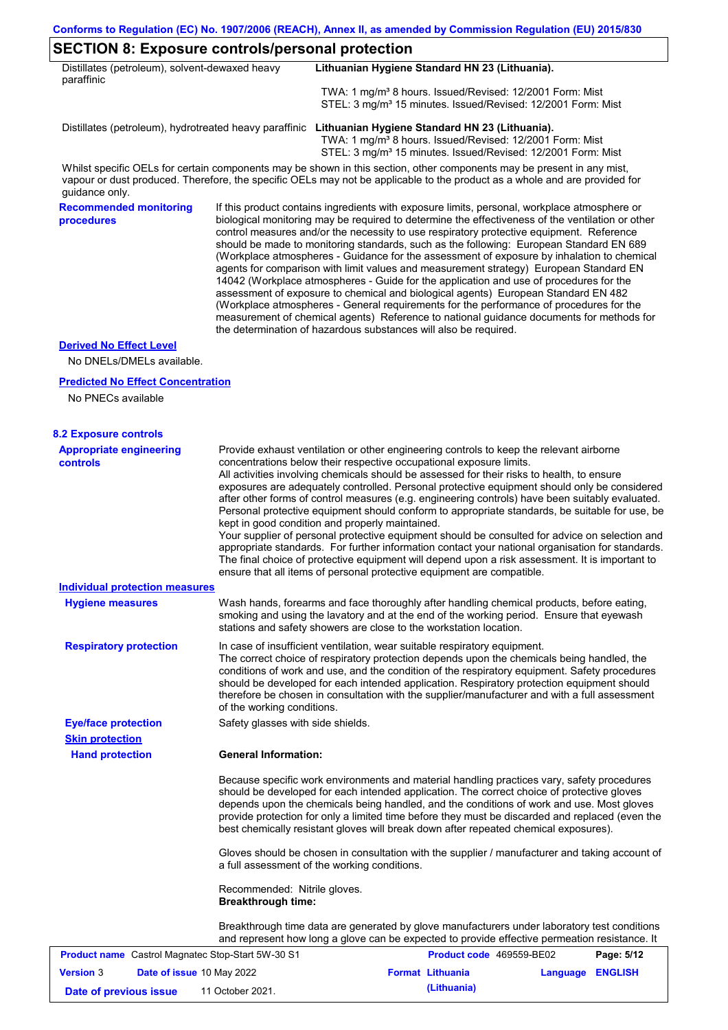┑

### **SECTION 8: Exposure controls/personal protection**

| Distillates (petroleum), solvent-dewaxed heavy<br>paraffinic |                                                           | Lithuanian Hygiene Standard HN 23 (Lithuania).                                                                                                                                                                                                                                                                                                                                                                                                                                                                                                                                                                                                                                                                                                                                                                                                                                                                                                                                                                             |
|--------------------------------------------------------------|-----------------------------------------------------------|----------------------------------------------------------------------------------------------------------------------------------------------------------------------------------------------------------------------------------------------------------------------------------------------------------------------------------------------------------------------------------------------------------------------------------------------------------------------------------------------------------------------------------------------------------------------------------------------------------------------------------------------------------------------------------------------------------------------------------------------------------------------------------------------------------------------------------------------------------------------------------------------------------------------------------------------------------------------------------------------------------------------------|
|                                                              |                                                           | TWA: 1 mg/m <sup>3</sup> 8 hours. Issued/Revised: 12/2001 Form: Mist<br>STEL: 3 mg/m <sup>3</sup> 15 minutes. Issued/Revised: 12/2001 Form: Mist                                                                                                                                                                                                                                                                                                                                                                                                                                                                                                                                                                                                                                                                                                                                                                                                                                                                           |
|                                                              |                                                           | Distillates (petroleum), hydrotreated heavy paraffinic Lithuanian Hygiene Standard HN 23 (Lithuania).<br>TWA: 1 mg/m <sup>3</sup> 8 hours. Issued/Revised: 12/2001 Form: Mist<br>STEL: 3 mg/m <sup>3</sup> 15 minutes. Issued/Revised: 12/2001 Form: Mist                                                                                                                                                                                                                                                                                                                                                                                                                                                                                                                                                                                                                                                                                                                                                                  |
| guidance only.                                               |                                                           | Whilst specific OELs for certain components may be shown in this section, other components may be present in any mist,<br>vapour or dust produced. Therefore, the specific OELs may not be applicable to the product as a whole and are provided for                                                                                                                                                                                                                                                                                                                                                                                                                                                                                                                                                                                                                                                                                                                                                                       |
| <b>Recommended monitoring</b><br>procedures                  |                                                           | If this product contains ingredients with exposure limits, personal, workplace atmosphere or<br>biological monitoring may be required to determine the effectiveness of the ventilation or other<br>control measures and/or the necessity to use respiratory protective equipment. Reference<br>should be made to monitoring standards, such as the following: European Standard EN 689<br>(Workplace atmospheres - Guidance for the assessment of exposure by inhalation to chemical<br>agents for comparison with limit values and measurement strategy) European Standard EN<br>14042 (Workplace atmospheres - Guide for the application and use of procedures for the<br>assessment of exposure to chemical and biological agents) European Standard EN 482<br>(Workplace atmospheres - General requirements for the performance of procedures for the<br>measurement of chemical agents) Reference to national guidance documents for methods for<br>the determination of hazardous substances will also be required. |
| <b>Derived No Effect Level</b>                               |                                                           |                                                                                                                                                                                                                                                                                                                                                                                                                                                                                                                                                                                                                                                                                                                                                                                                                                                                                                                                                                                                                            |
| No DNELs/DMELs available.                                    |                                                           |                                                                                                                                                                                                                                                                                                                                                                                                                                                                                                                                                                                                                                                                                                                                                                                                                                                                                                                                                                                                                            |
| <b>Predicted No Effect Concentration</b>                     |                                                           |                                                                                                                                                                                                                                                                                                                                                                                                                                                                                                                                                                                                                                                                                                                                                                                                                                                                                                                                                                                                                            |
| No PNECs available                                           |                                                           |                                                                                                                                                                                                                                                                                                                                                                                                                                                                                                                                                                                                                                                                                                                                                                                                                                                                                                                                                                                                                            |
| <b>8.2 Exposure controls</b>                                 |                                                           |                                                                                                                                                                                                                                                                                                                                                                                                                                                                                                                                                                                                                                                                                                                                                                                                                                                                                                                                                                                                                            |
| <b>Appropriate engineering</b><br><b>controls</b>            |                                                           | Provide exhaust ventilation or other engineering controls to keep the relevant airborne<br>concentrations below their respective occupational exposure limits.<br>All activities involving chemicals should be assessed for their risks to health, to ensure<br>exposures are adequately controlled. Personal protective equipment should only be considered<br>after other forms of control measures (e.g. engineering controls) have been suitably evaluated.<br>Personal protective equipment should conform to appropriate standards, be suitable for use, be<br>kept in good condition and properly maintained.<br>Your supplier of personal protective equipment should be consulted for advice on selection and<br>appropriate standards. For further information contact your national organisation for standards.<br>The final choice of protective equipment will depend upon a risk assessment. It is important to<br>ensure that all items of personal protective equipment are compatible.                    |
| <b>Individual protection measures</b>                        |                                                           |                                                                                                                                                                                                                                                                                                                                                                                                                                                                                                                                                                                                                                                                                                                                                                                                                                                                                                                                                                                                                            |
| <b>Hygiene measures</b>                                      |                                                           | Wash hands, forearms and face thoroughly after handling chemical products, before eating,<br>smoking and using the lavatory and at the end of the working period. Ensure that eyewash<br>stations and safety showers are close to the workstation location.                                                                                                                                                                                                                                                                                                                                                                                                                                                                                                                                                                                                                                                                                                                                                                |
| <b>Respiratory protection</b>                                | of the working conditions.                                | In case of insufficient ventilation, wear suitable respiratory equipment.<br>The correct choice of respiratory protection depends upon the chemicals being handled, the<br>conditions of work and use, and the condition of the respiratory equipment. Safety procedures<br>should be developed for each intended application. Respiratory protection equipment should<br>therefore be chosen in consultation with the supplier/manufacturer and with a full assessment                                                                                                                                                                                                                                                                                                                                                                                                                                                                                                                                                    |
| <b>Eye/face protection</b>                                   | Safety glasses with side shields.                         |                                                                                                                                                                                                                                                                                                                                                                                                                                                                                                                                                                                                                                                                                                                                                                                                                                                                                                                                                                                                                            |
| <b>Skin protection</b><br><b>Hand protection</b>             | <b>General Information:</b>                               |                                                                                                                                                                                                                                                                                                                                                                                                                                                                                                                                                                                                                                                                                                                                                                                                                                                                                                                                                                                                                            |
|                                                              |                                                           | Because specific work environments and material handling practices vary, safety procedures<br>should be developed for each intended application. The correct choice of protective gloves<br>depends upon the chemicals being handled, and the conditions of work and use. Most gloves<br>provide protection for only a limited time before they must be discarded and replaced (even the<br>best chemically resistant gloves will break down after repeated chemical exposures).                                                                                                                                                                                                                                                                                                                                                                                                                                                                                                                                           |
|                                                              |                                                           | Gloves should be chosen in consultation with the supplier / manufacturer and taking account of<br>a full assessment of the working conditions.                                                                                                                                                                                                                                                                                                                                                                                                                                                                                                                                                                                                                                                                                                                                                                                                                                                                             |
|                                                              | Recommended: Nitrile gloves.<br><b>Breakthrough time:</b> |                                                                                                                                                                                                                                                                                                                                                                                                                                                                                                                                                                                                                                                                                                                                                                                                                                                                                                                                                                                                                            |
|                                                              |                                                           | Breakthrough time data are generated by glove manufacturers under laboratory test conditions<br>and represent how long a glove can be expected to provide effective permeation resistance. It                                                                                                                                                                                                                                                                                                                                                                                                                                                                                                                                                                                                                                                                                                                                                                                                                              |

| <b>Product name</b> Castrol Magnatec Stop-Start 5W-30 S1 |                                  |                  | <b>Product code</b> 469559-BE02 | Page: 5/12       |  |
|----------------------------------------------------------|----------------------------------|------------------|---------------------------------|------------------|--|
| <b>Version 3</b>                                         | <b>Date of issue 10 May 2022</b> |                  | <b>Format Lithuania</b>         | Language ENGLISH |  |
| Date of previous issue                                   |                                  | 11 October 2021. | (Lithuania)                     |                  |  |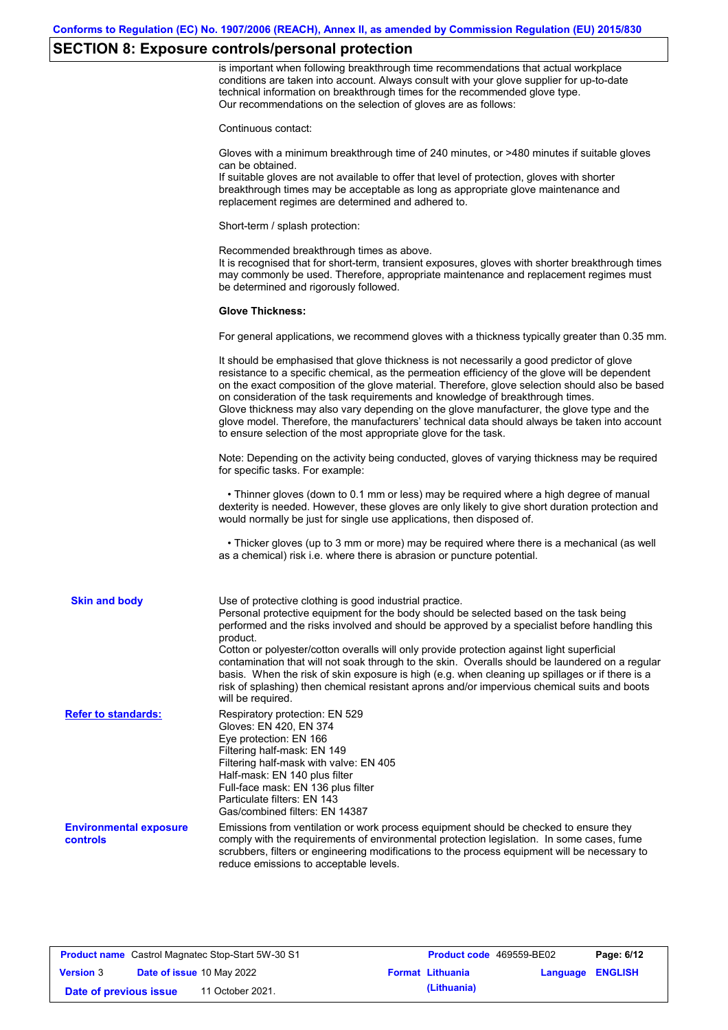### **SECTION 8: Exposure controls/personal protection**

is important when following breakthrough time recommendations that actual workplace conditions are taken into account. Always consult with your glove supplier for up-to-date technical information on breakthrough times for the recommended glove type. Our recommendations on the selection of gloves are as follows:

Continuous contact:

Gloves with a minimum breakthrough time of 240 minutes, or >480 minutes if suitable gloves can be obtained.

If suitable gloves are not available to offer that level of protection, gloves with shorter breakthrough times may be acceptable as long as appropriate glove maintenance and replacement regimes are determined and adhered to.

Short-term / splash protection:

Recommended breakthrough times as above. It is recognised that for short-term, transient exposures, gloves with shorter breakthrough times may commonly be used. Therefore, appropriate maintenance and replacement regimes must be determined and rigorously followed.

#### **Glove Thickness:**

For general applications, we recommend gloves with a thickness typically greater than 0.35 mm.

|                                           | It should be emphasised that glove thickness is not necessarily a good predictor of glove<br>resistance to a specific chemical, as the permeation efficiency of the glove will be dependent<br>on the exact composition of the glove material. Therefore, glove selection should also be based<br>on consideration of the task requirements and knowledge of breakthrough times.<br>Glove thickness may also vary depending on the glove manufacturer, the glove type and the<br>glove model. Therefore, the manufacturers' technical data should always be taken into account<br>to ensure selection of the most appropriate glove for the task.                                     |
|-------------------------------------------|---------------------------------------------------------------------------------------------------------------------------------------------------------------------------------------------------------------------------------------------------------------------------------------------------------------------------------------------------------------------------------------------------------------------------------------------------------------------------------------------------------------------------------------------------------------------------------------------------------------------------------------------------------------------------------------|
|                                           | Note: Depending on the activity being conducted, gloves of varying thickness may be required<br>for specific tasks. For example:                                                                                                                                                                                                                                                                                                                                                                                                                                                                                                                                                      |
|                                           | • Thinner gloves (down to 0.1 mm or less) may be required where a high degree of manual<br>dexterity is needed. However, these gloves are only likely to give short duration protection and<br>would normally be just for single use applications, then disposed of.                                                                                                                                                                                                                                                                                                                                                                                                                  |
|                                           | • Thicker gloves (up to 3 mm or more) may be required where there is a mechanical (as well<br>as a chemical) risk i.e. where there is abrasion or puncture potential.                                                                                                                                                                                                                                                                                                                                                                                                                                                                                                                 |
| <b>Skin and body</b>                      | Use of protective clothing is good industrial practice.<br>Personal protective equipment for the body should be selected based on the task being<br>performed and the risks involved and should be approved by a specialist before handling this<br>product.<br>Cotton or polyester/cotton overalls will only provide protection against light superficial<br>contamination that will not soak through to the skin. Overalls should be laundered on a regular<br>basis. When the risk of skin exposure is high (e.g. when cleaning up spillages or if there is a<br>risk of splashing) then chemical resistant aprons and/or impervious chemical suits and boots<br>will be required. |
| <b>Refer to standards:</b>                | Respiratory protection: EN 529<br>Gloves: EN 420, EN 374<br>Eye protection: EN 166<br>Filtering half-mask: EN 149<br>Filtering half-mask with valve: EN 405<br>Half-mask: EN 140 plus filter<br>Full-face mask: EN 136 plus filter<br>Particulate filters: EN 143<br>Gas/combined filters: EN 14387                                                                                                                                                                                                                                                                                                                                                                                   |
| <b>Environmental exposure</b><br>controls | Emissions from ventilation or work process equipment should be checked to ensure they<br>comply with the requirements of environmental protection legislation. In some cases, fume<br>scrubbers, filters or engineering modifications to the process equipment will be necessary to<br>reduce emissions to acceptable levels.                                                                                                                                                                                                                                                                                                                                                         |

| <b>Product name</b> Castrol Magnatec Stop-Start 5W-30 S1 |  | <b>Product code</b> 469559-BE02  |  | Page: 6/12              |                         |  |
|----------------------------------------------------------|--|----------------------------------|--|-------------------------|-------------------------|--|
| <b>Version 3</b>                                         |  | <b>Date of issue 10 May 2022</b> |  | <b>Format Lithuania</b> | <b>Language ENGLISH</b> |  |
| Date of previous issue                                   |  | 11 October 2021.                 |  | (Lithuania)             |                         |  |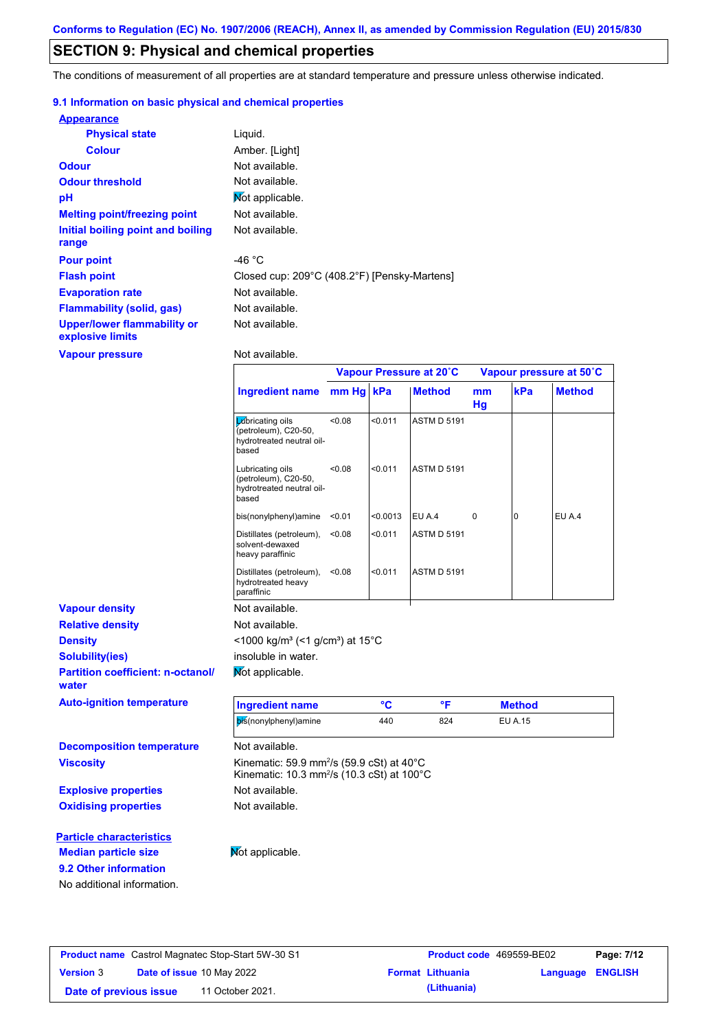### **SECTION 9: Physical and chemical properties**

The conditions of measurement of all properties are at standard temperature and pressure unless otherwise indicated.

### **9.1 Information on basic physical and chemical properties**

| <b>Appearance</b>                               |                                              |
|-------------------------------------------------|----------------------------------------------|
| <b>Physical state</b>                           | Liquid.                                      |
| <b>Colour</b>                                   | Amber. [Light]                               |
| <b>Odour</b>                                    | Not available.                               |
| <b>Odour threshold</b>                          | Not available.                               |
| pH                                              | Mot applicable.                              |
| <b>Melting point/freezing point</b>             | Not available.                               |
| Initial boiling point and boiling<br>range      | Not available.                               |
| <b>Pour point</b>                               | -46 $^{\circ}$ C                             |
| <b>Flash point</b>                              | Closed cup: 209°C (408.2°F) [Pensky-Martens] |
| <b>Evaporation rate</b>                         | Not available.                               |
| <b>Flammability (solid, gas)</b>                | Not available.                               |
| Upper/lower flammability or<br>explosive limits | Not available.                               |

**Vapour pressure**

**9.2 Other information**

No additional information.

Not available.

|                                                   |                                                                                                                                      | Vapour Pressure at 20°C |          |                    | Vapour pressure at 50°C |                |               |
|---------------------------------------------------|--------------------------------------------------------------------------------------------------------------------------------------|-------------------------|----------|--------------------|-------------------------|----------------|---------------|
|                                                   | <b>Ingredient name</b>                                                                                                               | mm Hg kPa               |          | <b>Method</b>      | mm<br>Hg                | kPa            | <b>Method</b> |
|                                                   | <b>L</b> úbricating oils<br>(petroleum), C20-50,<br>hydrotreated neutral oil-<br>based                                               | < 0.08                  | < 0.011  | <b>ASTM D 5191</b> |                         |                |               |
|                                                   | Lubricating oils<br>(petroleum), C20-50,<br>hydrotreated neutral oil-<br>based                                                       | <0.08                   | < 0.011  | <b>ASTM D 5191</b> |                         |                |               |
|                                                   | bis(nonylphenyl)amine                                                                                                                | < 0.01                  | < 0.0013 | EU A.4             | 0                       | $\overline{0}$ | EU A.4        |
|                                                   | Distillates (petroleum),<br>solvent-dewaxed<br>heavy paraffinic                                                                      | < 0.08                  | < 0.011  | <b>ASTM D 5191</b> |                         |                |               |
|                                                   | Distillates (petroleum),<br>hydrotreated heavy<br>paraffinic                                                                         | <0.08                   | < 0.011  | <b>ASTM D 5191</b> |                         |                |               |
| <b>Vapour density</b>                             | Not available.                                                                                                                       |                         |          |                    |                         |                |               |
| <b>Relative density</b>                           | Not available.                                                                                                                       |                         |          |                    |                         |                |               |
| <b>Density</b>                                    | <1000 kg/m <sup>3</sup> (<1 g/cm <sup>3</sup> ) at 15 <sup>°</sup> C                                                                 |                         |          |                    |                         |                |               |
| <b>Solubility(ies)</b>                            | insoluble in water.                                                                                                                  |                         |          |                    |                         |                |               |
| <b>Partition coefficient: n-octanol/</b><br>water | Not applicable.                                                                                                                      |                         |          |                    |                         |                |               |
| <b>Auto-ignition temperature</b>                  | <b>Ingredient name</b>                                                                                                               |                         | °C       | °F                 |                         | <b>Method</b>  |               |
|                                                   | bis(nonylphenyl)amine                                                                                                                |                         | 440      | 824                |                         | <b>EU A.15</b> |               |
| <b>Decomposition temperature</b>                  | Not available.                                                                                                                       |                         |          |                    |                         |                |               |
| <b>Viscosity</b>                                  | Kinematic: 59.9 mm <sup>2</sup> /s (59.9 cSt) at $40^{\circ}$ C<br>Kinematic: 10.3 mm <sup>2</sup> /s (10.3 cSt) at 100 $^{\circ}$ C |                         |          |                    |                         |                |               |
| <b>Explosive properties</b>                       | Not available.                                                                                                                       |                         |          |                    |                         |                |               |
| <b>Oxidising properties</b>                       | Not available.                                                                                                                       |                         |          |                    |                         |                |               |
| <b>Particle characteristics</b>                   |                                                                                                                                      |                         |          |                    |                         |                |               |
| <b>Median particle size</b>                       | Not applicable.                                                                                                                      |                         |          |                    |                         |                |               |

| <b>Product name</b> Castrol Magnatec Stop-Start 5W-30 S1 |                                  | <b>Product code</b> 469559-BE02 |                         | Page: 7/12              |  |
|----------------------------------------------------------|----------------------------------|---------------------------------|-------------------------|-------------------------|--|
| <b>Version 3</b>                                         | <b>Date of issue 10 May 2022</b> |                                 | <b>Format Lithuania</b> | <b>Language ENGLISH</b> |  |
| Date of previous issue                                   |                                  | 11 October 2021.                | (Lithuania)             |                         |  |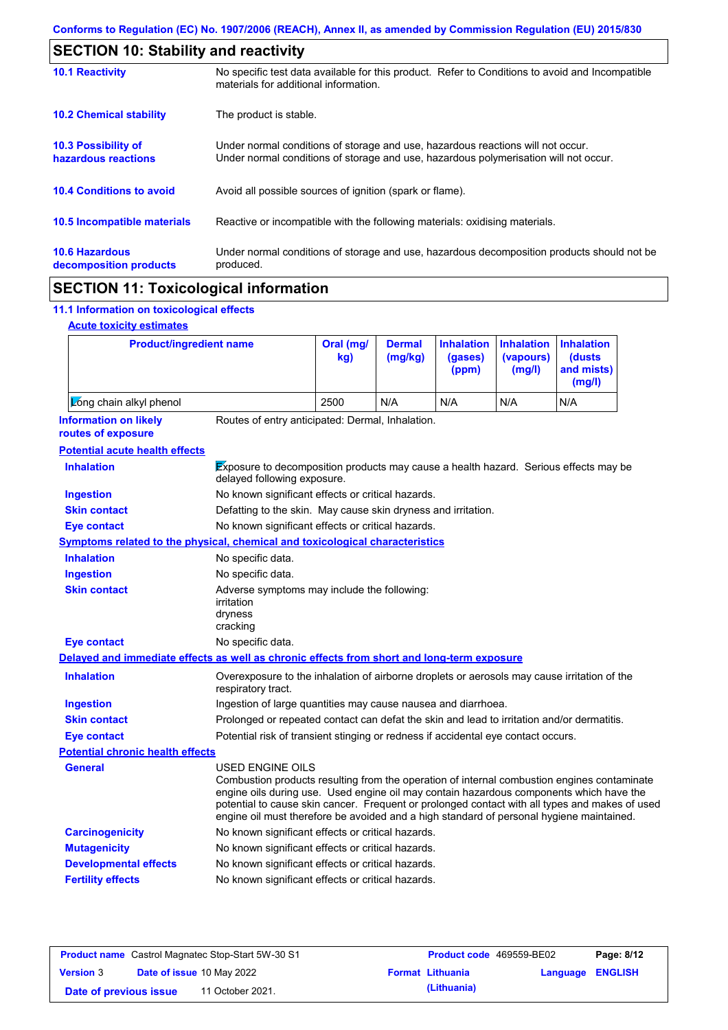| <b>SECTION 10: Stability and reactivity</b>     |                                                                                                                                                                         |  |  |  |  |
|-------------------------------------------------|-------------------------------------------------------------------------------------------------------------------------------------------------------------------------|--|--|--|--|
| <b>10.1 Reactivity</b>                          | No specific test data available for this product. Refer to Conditions to avoid and Incompatible<br>materials for additional information.                                |  |  |  |  |
| <b>10.2 Chemical stability</b>                  | The product is stable.                                                                                                                                                  |  |  |  |  |
| 10.3 Possibility of<br>hazardous reactions      | Under normal conditions of storage and use, hazardous reactions will not occur.<br>Under normal conditions of storage and use, hazardous polymerisation will not occur. |  |  |  |  |
| <b>10.4 Conditions to avoid</b>                 | Avoid all possible sources of ignition (spark or flame).                                                                                                                |  |  |  |  |
| <b>10.5 Incompatible materials</b>              | Reactive or incompatible with the following materials: oxidising materials.                                                                                             |  |  |  |  |
| <b>10.6 Hazardous</b><br>decomposition products | Under normal conditions of storage and use, hazardous decomposition products should not be<br>produced.                                                                 |  |  |  |  |

## **SECTION 11: Toxicological information**

### **11.1 Information on toxicological effects**

| <b>Acute toxicity estimates</b> |
|---------------------------------|
|                                 |

| <b>Product/ingredient name</b>                                                             |                                                                                                                                                                                                                                                                                                                                                                                                                 | Oral (mg/<br>kg) | <b>Dermal</b><br>(mg/kg) | <b>Inhalation</b><br>(gases)<br>(ppm) | <b>Inhalation</b><br>(vapours)<br>(mg/l) | <b>Inhalation</b><br>(dusts)<br>and mists)<br>(mg/l) |  |
|--------------------------------------------------------------------------------------------|-----------------------------------------------------------------------------------------------------------------------------------------------------------------------------------------------------------------------------------------------------------------------------------------------------------------------------------------------------------------------------------------------------------------|------------------|--------------------------|---------------------------------------|------------------------------------------|------------------------------------------------------|--|
| Zong chain alkyl phenol                                                                    |                                                                                                                                                                                                                                                                                                                                                                                                                 | 2500             | N/A                      | N/A                                   | N/A                                      | N/A                                                  |  |
| <b>Information on likely</b><br>routes of exposure                                         | Routes of entry anticipated: Dermal, Inhalation.                                                                                                                                                                                                                                                                                                                                                                |                  |                          |                                       |                                          |                                                      |  |
| <b>Potential acute health effects</b>                                                      |                                                                                                                                                                                                                                                                                                                                                                                                                 |                  |                          |                                       |                                          |                                                      |  |
| <b>Inhalation</b>                                                                          | Exposure to decomposition products may cause a health hazard. Serious effects may be<br>delayed following exposure.                                                                                                                                                                                                                                                                                             |                  |                          |                                       |                                          |                                                      |  |
| <b>Ingestion</b>                                                                           | No known significant effects or critical hazards.                                                                                                                                                                                                                                                                                                                                                               |                  |                          |                                       |                                          |                                                      |  |
| <b>Skin contact</b>                                                                        | Defatting to the skin. May cause skin dryness and irritation.                                                                                                                                                                                                                                                                                                                                                   |                  |                          |                                       |                                          |                                                      |  |
| <b>Eye contact</b>                                                                         | No known significant effects or critical hazards.                                                                                                                                                                                                                                                                                                                                                               |                  |                          |                                       |                                          |                                                      |  |
| <b>Symptoms related to the physical, chemical and toxicological characteristics</b>        |                                                                                                                                                                                                                                                                                                                                                                                                                 |                  |                          |                                       |                                          |                                                      |  |
| <b>Inhalation</b>                                                                          | No specific data.                                                                                                                                                                                                                                                                                                                                                                                               |                  |                          |                                       |                                          |                                                      |  |
| <b>Ingestion</b>                                                                           | No specific data.                                                                                                                                                                                                                                                                                                                                                                                               |                  |                          |                                       |                                          |                                                      |  |
| <b>Skin contact</b>                                                                        | Adverse symptoms may include the following:<br>irritation<br>dryness<br>cracking                                                                                                                                                                                                                                                                                                                                |                  |                          |                                       |                                          |                                                      |  |
| <b>Eye contact</b>                                                                         | No specific data.                                                                                                                                                                                                                                                                                                                                                                                               |                  |                          |                                       |                                          |                                                      |  |
| Delayed and immediate effects as well as chronic effects from short and long-term exposure |                                                                                                                                                                                                                                                                                                                                                                                                                 |                  |                          |                                       |                                          |                                                      |  |
| <b>Inhalation</b>                                                                          | Overexposure to the inhalation of airborne droplets or aerosols may cause irritation of the<br>respiratory tract.                                                                                                                                                                                                                                                                                               |                  |                          |                                       |                                          |                                                      |  |
| <b>Ingestion</b>                                                                           | Ingestion of large quantities may cause nausea and diarrhoea.                                                                                                                                                                                                                                                                                                                                                   |                  |                          |                                       |                                          |                                                      |  |
| <b>Skin contact</b>                                                                        | Prolonged or repeated contact can defat the skin and lead to irritation and/or dermatitis.                                                                                                                                                                                                                                                                                                                      |                  |                          |                                       |                                          |                                                      |  |
| <b>Eye contact</b>                                                                         | Potential risk of transient stinging or redness if accidental eye contact occurs.                                                                                                                                                                                                                                                                                                                               |                  |                          |                                       |                                          |                                                      |  |
| <b>Potential chronic health effects</b>                                                    |                                                                                                                                                                                                                                                                                                                                                                                                                 |                  |                          |                                       |                                          |                                                      |  |
| General                                                                                    | <b>USED ENGINE OILS</b><br>Combustion products resulting from the operation of internal combustion engines contaminate<br>engine oils during use. Used engine oil may contain hazardous components which have the<br>potential to cause skin cancer. Frequent or prolonged contact with all types and makes of used<br>engine oil must therefore be avoided and a high standard of personal hygiene maintained. |                  |                          |                                       |                                          |                                                      |  |
| <b>Carcinogenicity</b>                                                                     | No known significant effects or critical hazards.                                                                                                                                                                                                                                                                                                                                                               |                  |                          |                                       |                                          |                                                      |  |
| <b>Mutagenicity</b>                                                                        | No known significant effects or critical hazards.                                                                                                                                                                                                                                                                                                                                                               |                  |                          |                                       |                                          |                                                      |  |
| <b>Developmental effects</b>                                                               | No known significant effects or critical hazards.                                                                                                                                                                                                                                                                                                                                                               |                  |                          |                                       |                                          |                                                      |  |
| <b>Fertility effects</b>                                                                   | No known significant effects or critical hazards.                                                                                                                                                                                                                                                                                                                                                               |                  |                          |                                       |                                          |                                                      |  |

| <b>Product name</b> Castrol Magnatec Stop-Start 5W-30 S1 |  |                                  | <b>Product code</b> 469559-BE02 |                         | Page: 8/12              |  |
|----------------------------------------------------------|--|----------------------------------|---------------------------------|-------------------------|-------------------------|--|
| <b>Version 3</b>                                         |  | <b>Date of issue 10 May 2022</b> |                                 | <b>Format Lithuania</b> | <b>Language ENGLISH</b> |  |
| Date of previous issue                                   |  | 11 October 2021.                 |                                 | (Lithuania)             |                         |  |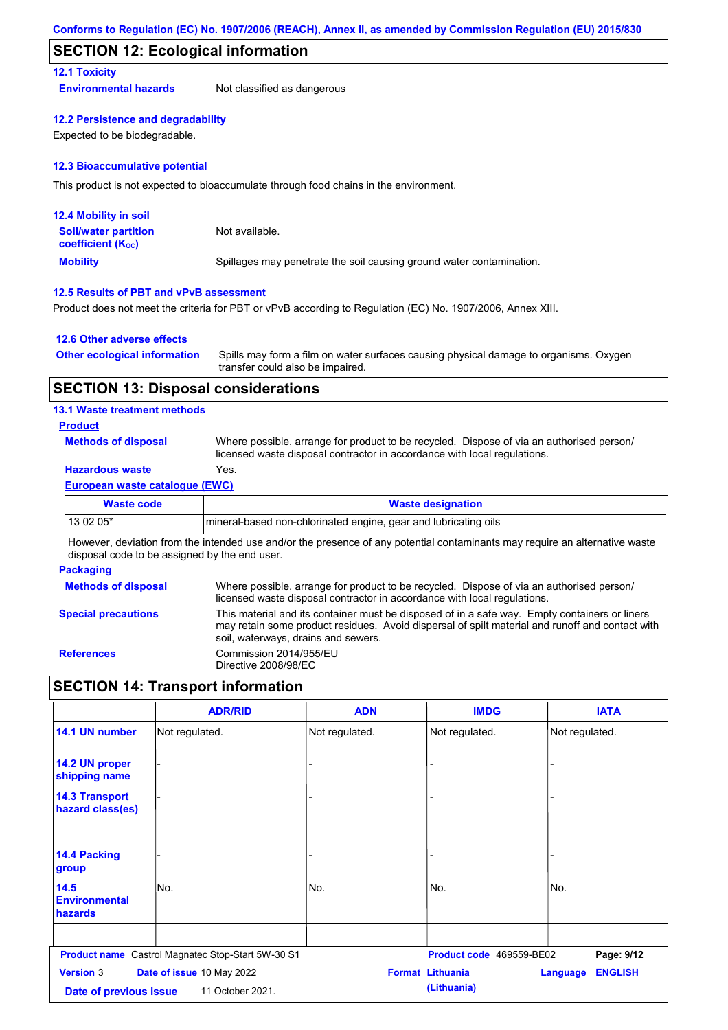### **SECTION 12: Ecological information**

### **12.1 Toxicity**

**Environmental hazards** Not classified as dangerous

#### **12.2 Persistence and degradability**

Expected to be biodegradable.

#### **12.3 Bioaccumulative potential**

This product is not expected to bioaccumulate through food chains in the environment.

| <b>12.4 Mobility in soil</b>                                  |                                                                      |
|---------------------------------------------------------------|----------------------------------------------------------------------|
| <b>Soil/water partition</b><br>coefficient (K <sub>oc</sub> ) | Not available.                                                       |
| <b>Mobility</b>                                               | Spillages may penetrate the soil causing ground water contamination. |

### **12.5 Results of PBT and vPvB assessment**

Product does not meet the criteria for PBT or vPvB according to Regulation (EC) No. 1907/2006, Annex XIII.

### **12.6 Other adverse effects**

| <b>Other ecological information</b> | Spills may form a film on water surfaces causing physical damage to organisms. Oxygen |
|-------------------------------------|---------------------------------------------------------------------------------------|
|                                     | transfer could also be impaired.                                                      |

### **SECTION 13: Disposal considerations**

### **13.1 Waste treatment methods**

### **Product**

**Methods of disposal**

Where possible, arrange for product to be recycled. Dispose of via an authorised person/ licensed waste disposal contractor in accordance with local regulations.

### **Hazardous waste** Yes.

#### **European waste catalogue (EWC)**

| Waste code | <b>Waste designation</b>                                        |
|------------|-----------------------------------------------------------------|
| 13 02 05*  | mineral-based non-chlorinated engine, gear and lubricating oils |

However, deviation from the intended use and/or the presence of any potential contaminants may require an alternative waste disposal code to be assigned by the end user.

#### **Packaging**

| <b>Methods of disposal</b> | Where possible, arrange for product to be recycled. Dispose of via an authorised person/<br>licensed waste disposal contractor in accordance with local regulations.                                                                    |
|----------------------------|-----------------------------------------------------------------------------------------------------------------------------------------------------------------------------------------------------------------------------------------|
| <b>Special precautions</b> | This material and its container must be disposed of in a safe way. Empty containers or liners<br>may retain some product residues. Avoid dispersal of spilt material and runoff and contact with<br>soil, waterways, drains and sewers. |
| <b>References</b>          | Commission 2014/955/EU<br>Directive 2008/98/EC                                                                                                                                                                                          |

## **SECTION 14: Transport information**

|                                           | <b>ADR/RID</b>                                           | <b>ADN</b>     | <b>IMDG</b>              | <b>IATA</b>                       |
|-------------------------------------------|----------------------------------------------------------|----------------|--------------------------|-----------------------------------|
| 14.1 UN number                            | Not regulated.                                           | Not regulated. | Not regulated.           | Not regulated.                    |
| 14.2 UN proper<br>shipping name           |                                                          |                |                          |                                   |
| <b>14.3 Transport</b><br>hazard class(es) |                                                          |                |                          |                                   |
| 14.4 Packing<br>group                     |                                                          |                |                          |                                   |
| 14.5<br><b>Environmental</b><br>hazards   | lNo.                                                     | No.            | No.                      | No.                               |
|                                           | <b>Product name</b> Castrol Magnatec Stop-Start 5W-30 S1 |                | Product code 469559-BE02 | Page: 9/12                        |
| <b>Version 3</b>                          | Date of issue 10 May 2022                                |                | <b>Format Lithuania</b>  | <b>ENGLISH</b><br><b>Language</b> |
| Date of previous issue                    | 11 October 2021.                                         |                | (Lithuania)              |                                   |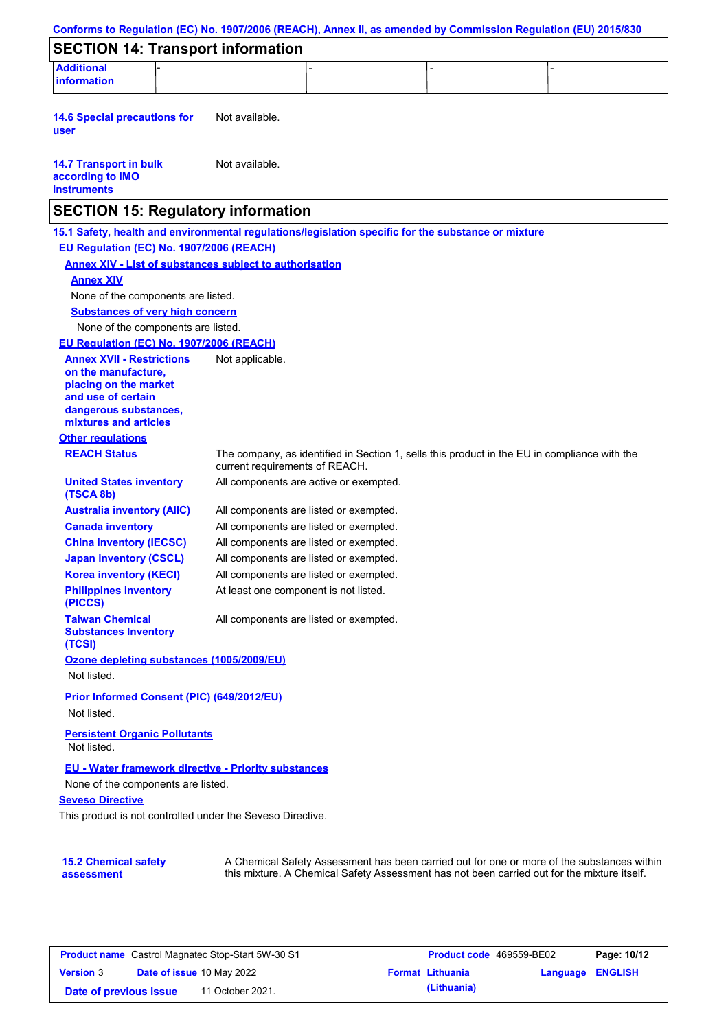| Conforms to Regulation (EC) No. 1907/2006 (REACH), Annex II, as amended by Commission Regulation (EU) 2015/830                  |                                        |                                                                                              |                                                                                            |
|---------------------------------------------------------------------------------------------------------------------------------|----------------------------------------|----------------------------------------------------------------------------------------------|--------------------------------------------------------------------------------------------|
| <b>SECTION 14: Transport information</b>                                                                                        |                                        |                                                                                              |                                                                                            |
| <b>Additional</b><br><b>information</b>                                                                                         |                                        |                                                                                              |                                                                                            |
|                                                                                                                                 |                                        |                                                                                              |                                                                                            |
| <b>14.6 Special precautions for</b><br>user                                                                                     | Not available.                         |                                                                                              |                                                                                            |
| <b>14.7 Transport in bulk</b><br>according to IMO<br><b>instruments</b>                                                         | Not available.                         |                                                                                              |                                                                                            |
| <b>SECTION 15: Regulatory information</b>                                                                                       |                                        |                                                                                              |                                                                                            |
| 15.1 Safety, health and environmental regulations/legislation specific for the substance or mixture                             |                                        |                                                                                              |                                                                                            |
| EU Regulation (EC) No. 1907/2006 (REACH)                                                                                        |                                        |                                                                                              |                                                                                            |
| <b>Annex XIV - List of substances subject to authorisation</b>                                                                  |                                        |                                                                                              |                                                                                            |
| <b>Annex XIV</b>                                                                                                                |                                        |                                                                                              |                                                                                            |
| None of the components are listed.                                                                                              |                                        |                                                                                              |                                                                                            |
| <b>Substances of very high concern</b>                                                                                          |                                        |                                                                                              |                                                                                            |
| None of the components are listed.                                                                                              |                                        |                                                                                              |                                                                                            |
| EU Regulation (EC) No. 1907/2006 (REACH)                                                                                        |                                        |                                                                                              |                                                                                            |
| <b>Annex XVII - Restrictions</b><br>on the manufacture.<br>placing on the market<br>and use of certain<br>dangerous substances, | Not applicable.                        |                                                                                              |                                                                                            |
| mixtures and articles                                                                                                           |                                        |                                                                                              |                                                                                            |
| <b>Other regulations</b>                                                                                                        |                                        |                                                                                              |                                                                                            |
| <b>REACH Status</b>                                                                                                             | current requirements of REACH.         | The company, as identified in Section 1, sells this product in the EU in compliance with the |                                                                                            |
| <b>United States inventory</b><br>(TSCA 8b)                                                                                     |                                        | All components are active or exempted.                                                       |                                                                                            |
| <b>Australia inventory (AIIC)</b>                                                                                               | All components are listed or exempted. |                                                                                              |                                                                                            |
| <b>Canada inventory</b>                                                                                                         | All components are listed or exempted. |                                                                                              |                                                                                            |
| <b>China inventory (IECSC)</b>                                                                                                  | All components are listed or exempted. |                                                                                              |                                                                                            |
| <b>Japan inventory (CSCL)</b>                                                                                                   | All components are listed or exempted. |                                                                                              |                                                                                            |
| <b>Korea inventory (KECI)</b>                                                                                                   | All components are listed or exempted. |                                                                                              |                                                                                            |
| <b>Philippines inventory</b><br>(PICCS)                                                                                         | At least one component is not listed.  |                                                                                              |                                                                                            |
| <b>Taiwan Chemical</b><br><b>Substances Inventory</b><br>(TCSI)                                                                 | All components are listed or exempted. |                                                                                              |                                                                                            |
| Ozone depleting substances (1005/2009/EU)                                                                                       |                                        |                                                                                              |                                                                                            |
| Not listed.                                                                                                                     |                                        |                                                                                              |                                                                                            |
| Prior Informed Consent (PIC) (649/2012/EU)                                                                                      |                                        |                                                                                              |                                                                                            |
| Not listed.                                                                                                                     |                                        |                                                                                              |                                                                                            |
| <b>Persistent Organic Pollutants</b><br>Not listed.                                                                             |                                        |                                                                                              |                                                                                            |
| <b>EU - Water framework directive - Priority substances</b>                                                                     |                                        |                                                                                              |                                                                                            |
| None of the components are listed.                                                                                              |                                        |                                                                                              |                                                                                            |
| <b>Seveso Directive</b>                                                                                                         |                                        |                                                                                              |                                                                                            |
| This product is not controlled under the Seveso Directive.                                                                      |                                        |                                                                                              |                                                                                            |
|                                                                                                                                 |                                        |                                                                                              |                                                                                            |
|                                                                                                                                 |                                        |                                                                                              |                                                                                            |
| <b>15.2 Chemical safety</b><br>assessment                                                                                       |                                        | this mixture. A Chemical Safety Assessment has not been carried out for the mixture itself.  | A Chemical Safety Assessment has been carried out for one or more of the substances within |

| <b>Product name</b> Castrol Magnatec Stop-Start 5W-30 S1 |  |                                  | Product code 469559-BE02 | Page: 10/12             |                  |  |
|----------------------------------------------------------|--|----------------------------------|--------------------------|-------------------------|------------------|--|
| <b>Version 3</b>                                         |  | <b>Date of issue 10 May 2022</b> |                          | <b>Format Lithuania</b> | Language ENGLISH |  |
| Date of previous issue                                   |  | 11 October 2021.                 |                          | (Lithuania)             |                  |  |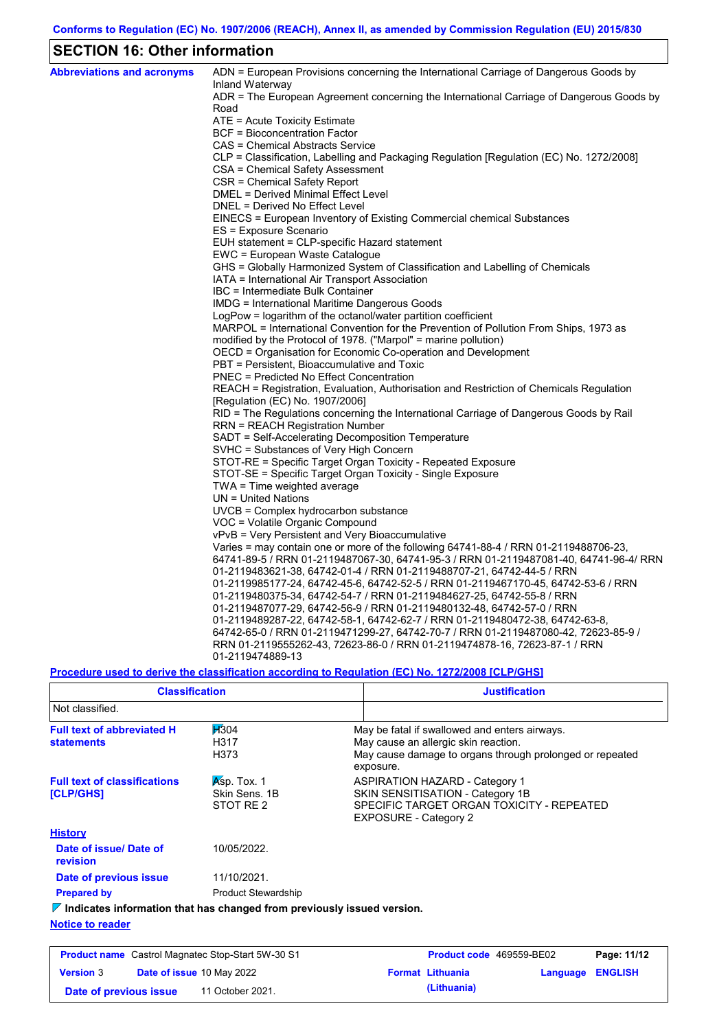# **SECTION 16: Other information**

| <b>Abbreviations and acronyms</b> | ADN = European Provisions concerning the International Carriage of Dangerous Goods by<br>Inland Waterway                                               |
|-----------------------------------|--------------------------------------------------------------------------------------------------------------------------------------------------------|
|                                   | ADR = The European Agreement concerning the International Carriage of Dangerous Goods by                                                               |
|                                   | Road                                                                                                                                                   |
|                                   | ATE = Acute Toxicity Estimate                                                                                                                          |
|                                   | BCF = Bioconcentration Factor                                                                                                                          |
|                                   | CAS = Chemical Abstracts Service                                                                                                                       |
|                                   | CLP = Classification, Labelling and Packaging Regulation [Regulation (EC) No. 1272/2008]                                                               |
|                                   | CSA = Chemical Safety Assessment                                                                                                                       |
|                                   | CSR = Chemical Safety Report                                                                                                                           |
|                                   | DMEL = Derived Minimal Effect Level                                                                                                                    |
|                                   | DNEL = Derived No Effect Level                                                                                                                         |
|                                   | EINECS = European Inventory of Existing Commercial chemical Substances                                                                                 |
|                                   | ES = Exposure Scenario                                                                                                                                 |
|                                   | EUH statement = CLP-specific Hazard statement                                                                                                          |
|                                   | EWC = European Waste Catalogue                                                                                                                         |
|                                   | GHS = Globally Harmonized System of Classification and Labelling of Chemicals                                                                          |
|                                   | IATA = International Air Transport Association                                                                                                         |
|                                   | IBC = Intermediate Bulk Container                                                                                                                      |
|                                   | IMDG = International Maritime Dangerous Goods                                                                                                          |
|                                   | LogPow = logarithm of the octanol/water partition coefficient<br>MARPOL = International Convention for the Prevention of Pollution From Ships, 1973 as |
|                                   | modified by the Protocol of 1978. ("Marpol" = marine pollution)                                                                                        |
|                                   | OECD = Organisation for Economic Co-operation and Development                                                                                          |
|                                   | PBT = Persistent, Bioaccumulative and Toxic                                                                                                            |
|                                   | <b>PNEC</b> = Predicted No Effect Concentration                                                                                                        |
|                                   | REACH = Registration, Evaluation, Authorisation and Restriction of Chemicals Regulation                                                                |
|                                   | [Regulation (EC) No. 1907/2006]                                                                                                                        |
|                                   | RID = The Regulations concerning the International Carriage of Dangerous Goods by Rail                                                                 |
|                                   | RRN = REACH Registration Number                                                                                                                        |
|                                   | SADT = Self-Accelerating Decomposition Temperature                                                                                                     |
|                                   | SVHC = Substances of Very High Concern                                                                                                                 |
|                                   | STOT-RE = Specific Target Organ Toxicity - Repeated Exposure                                                                                           |
|                                   | STOT-SE = Specific Target Organ Toxicity - Single Exposure                                                                                             |
|                                   | $TWA = Time weighted average$                                                                                                                          |
|                                   | $UN = United Nations$                                                                                                                                  |
|                                   | UVCB = Complex hydrocarbon substance                                                                                                                   |
|                                   | VOC = Volatile Organic Compound                                                                                                                        |
|                                   | vPvB = Very Persistent and Very Bioaccumulative                                                                                                        |
|                                   | Varies = may contain one or more of the following 64741-88-4 / RRN 01-2119488706-23,                                                                   |
|                                   | 64741-89-5 / RRN 01-2119487067-30, 64741-95-3 / RRN 01-2119487081-40, 64741-96-4/ RRN                                                                  |
|                                   | 01-2119483621-38, 64742-01-4 / RRN 01-2119488707-21, 64742-44-5 / RRN                                                                                  |
|                                   | 01-2119985177-24, 64742-45-6, 64742-52-5 / RRN 01-2119467170-45, 64742-53-6 / RRN                                                                      |
|                                   | 01-2119480375-34, 64742-54-7 / RRN 01-2119484627-25, 64742-55-8 / RRN                                                                                  |
|                                   | 01-2119487077-29, 64742-56-9 / RRN 01-2119480132-48, 64742-57-0 / RRN                                                                                  |
|                                   | 01-2119489287-22, 64742-58-1, 64742-62-7 / RRN 01-2119480472-38, 64742-63-8,                                                                           |
|                                   | 64742-65-0 / RRN 01-2119471299-27, 64742-70-7 / RRN 01-2119487080-42, 72623-85-9 /                                                                     |
|                                   | RRN 01-2119555262-43, 72623-86-0 / RRN 01-2119474878-16, 72623-87-1 / RRN                                                                              |
|                                   | 01-2119474889-13                                                                                                                                       |

**Procedure used to derive the classification according to Regulation (EC) No. 1272/2008 [CLP/GHS]**

| <b>Classification</b>                                                           |                                             | <b>Justification</b>                                                                                                                                           |
|---------------------------------------------------------------------------------|---------------------------------------------|----------------------------------------------------------------------------------------------------------------------------------------------------------------|
| Not classified.                                                                 |                                             |                                                                                                                                                                |
| <b>Full text of abbreviated H</b><br><b>statements</b>                          | H304<br>H317<br>H373                        | May be fatal if swallowed and enters airways.<br>May cause an allergic skin reaction.<br>May cause damage to organs through prolonged or repeated<br>exposure. |
| <b>Full text of classifications</b><br><b>[CLP/GHS]</b>                         | $Asp.$ Tox. 1<br>Skin Sens, 1B<br>STOT RE 2 | <b>ASPIRATION HAZARD - Category 1</b><br>SKIN SENSITISATION - Category 1B<br>SPECIFIC TARGET ORGAN TOXICITY - REPEATED<br><b>EXPOSURE - Category 2</b>         |
| <b>History</b>                                                                  |                                             |                                                                                                                                                                |
| Date of issue/Date of<br>revision                                               | 10/05/2022.                                 |                                                                                                                                                                |
| Date of previous issue                                                          | 11/10/2021.                                 |                                                                                                                                                                |
| <b>Prepared by</b>                                                              | <b>Product Stewardship</b>                  |                                                                                                                                                                |
| $\nabla$ Indicates information that has changed from previously issued version. |                                             |                                                                                                                                                                |
| .                                                                               |                                             |                                                                                                                                                                |

#### **Notice to reader**

| <b>Product name</b> Castrol Magnatec Stop-Start 5W-30 S1 |  |                                  | <b>Product code</b> 469559-BE02 |                         | Page: 11/12             |  |
|----------------------------------------------------------|--|----------------------------------|---------------------------------|-------------------------|-------------------------|--|
| <b>Version 3</b>                                         |  | <b>Date of issue 10 May 2022</b> |                                 | <b>Format Lithuania</b> | <b>Language ENGLISH</b> |  |
| Date of previous issue                                   |  | 11 October 2021.                 |                                 | (Lithuania)             |                         |  |